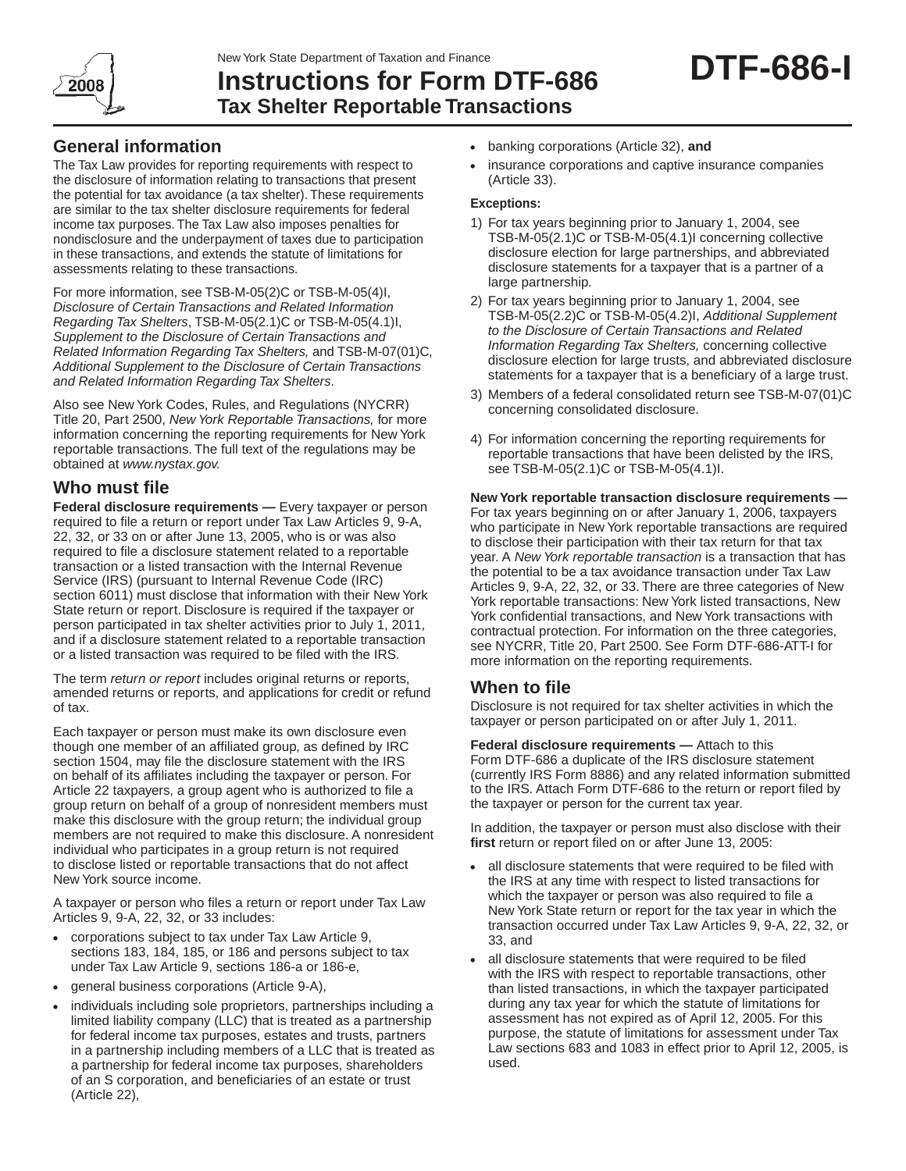

# **Instructions for Form DTF-686 Tax Shelter Reportable Transactions**

## **General information**

The Tax Law provides for reporting requirements with respect to the disclosure of information relating to transactions that present the potential for tax avoidance (a tax shelter). These requirements are similar to the tax shelter disclosure requirements for federal income tax purposes. The Tax Law also imposes penalties for nondisclosure and the underpayment of taxes due to participation in these transactions, and extends the statute of limitations for assessments relating to these transactions.

For more information, see TSB‑M‑05(2)C or TSB‑M‑05(4)I, *Disclosure of Certain Transactions and Related Information Regarding Tax Shelters*, TSB-M-05(2.1)C or TSB‑M‑05(4.1)I, *Supplement to the Disclosure of Certain Transactions and Related Information Regarding Tax Shelters,* and TSB-M-07(01)C, *Additional Supplement to the Disclosure of Certain Transactions and Related Information Regarding Tax Shelters*.

Also see New York Codes, Rules, and Regulations (NYCRR) Title 20, Part 2500, *New York Reportable Transactions,* for more information concerning the reporting requirements for New York reportable transactions. The full text of the regulations may be obtained at *www.nystax.gov.*

## **Who must file**

**Federal disclosure requirements** — Every taxpayer or person required to file a return or report under Tax Law Articles 9, 9‑A, 22, 32, or 33 on or after June 13, 2005, who is or was also required to file a disclosure statement related to a reportable transaction or a listed transaction with the Internal Revenue Service (IRS) (pursuant to Internal Revenue Code (IRC) section 6011) must disclose that information with their New York State return or report. Disclosure is required if the taxpayer or person participated in tax shelter activities prior to July 1, 2011, and if a disclosure statement related to a reportable transaction or a listed transaction was required to be filed with the IRS.

The term *return or report* includes original returns or reports, amended returns or reports, and applications for credit or refund of tax.

Each taxpayer or person must make its own disclosure even though one member of an affiliated group, as defined by IRC section 1504, may file the disclosure statement with the IRS on behalf of its affiliates including the taxpayer or person. For Article 22 taxpayers, a group agent who is authorized to file a group return on behalf of a group of nonresident members must make this disclosure with the group return; the individual group members are not required to make this disclosure. A nonresident individual who participates in a group return is not required to disclose listed or reportable transactions that do not affect New York source income.

A taxpayer or person who files a return or report under Tax Law Articles 9, 9‑A, 22, 32, or 33 includes:

- corporations subject to tax under Tax Law Article 9, sections 183, 184, 185, or 186 and persons subject to tax under Tax Law Article 9, sections 186‑a or 186‑e,
- general business corporations (Article 9‑A),
- individuals including sole proprietors, partnerships including a limited liability company (LLC) that is treated as a partnership for federal income tax purposes, estates and trusts, partners in a partnership including members of a LLC that is treated as a partnership for federal income tax purposes, shareholders of an S corporation, and beneficiaries of an estate or trust (Article 22),
- • banking corporations (Article 32), **and**
- insurance corporations and captive insurance companies (Article 33).

#### **Exceptions:**

- 1) For tax years beginning prior to January 1, 2004, see TSB-M-05(2.1)C or TSB-M-05(4.1)I concerning collective disclosure election for large partnerships, and abbreviated disclosure statements for a taxpayer that is a partner of a large partnership.
- 2) For tax years beginning prior to January 1, 2004, see TSB-M-05(2.2)C or TSB-M-05(4.2)I, *Additional Supplement to the Disclosure of Certain Transactions and Related Information Regarding Tax Shelters,* concerning collective disclosure election for large trusts, and abbreviated disclosure statements for a taxpayer that is a beneficiary of a large trust.
- 3) Members of a federal consolidated return see TSB-M-07(01)C concerning consolidated disclosure.
- 4) For information concerning the reporting requirements for reportable transactions that have been delisted by the IRS, see TSB-M-05(2.1)C or TSB-M-05(4.1)I.

**New York reportable transaction disclosure requirements —**  For tax years beginning on or after January 1, 2006, taxpayers who participate in New York reportable transactions are required to disclose their participation with their tax return for that tax year. A *New York reportable transaction* is a transaction that has the potential to be a tax avoidance transaction under Tax Law Articles 9, 9-A, 22, 32, or 33. There are three categories of New York reportable transactions: New York listed transactions, New York confidential transactions, and New York transactions with contractual protection. For information on the three categories, see NYCRR, Title 20, Part 2500. See Form DTF-686-ATT-I for more information on the reporting requirements.

# **When to file**

Disclosure is not required for tax shelter activities in which the taxpayer or person participated on or after July 1, 2011.

**Federal disclosure requirements —** Attach to this Form DTF-686 a duplicate of the IRS disclosure statement (currently IRS Form 8886) and any related information submitted to the IRS. Attach Form DTF‑686 to the return or report filed by the taxpayer or person for the current tax year.

In addition, the taxpayer or person must also disclose with their **first** return or report filed on or after June 13, 2005:

- all disclosure statements that were required to be filed with the IRS at any time with respect to listed transactions for which the taxpayer or person was also required to file a New York State return or report for the tax year in which the transaction occurred under Tax Law Articles 9, 9-A, 22, 32, or 33, and
- all disclosure statements that were required to be filed with the IRS with respect to reportable transactions, other than listed transactions, in which the taxpayer participated during any tax year for which the statute of limitations for assessment has not expired as of April 12, 2005. For this purpose, the statute of limitations for assessment under Tax Law sections 683 and 1083 in effect prior to April 12, 2005, is used.